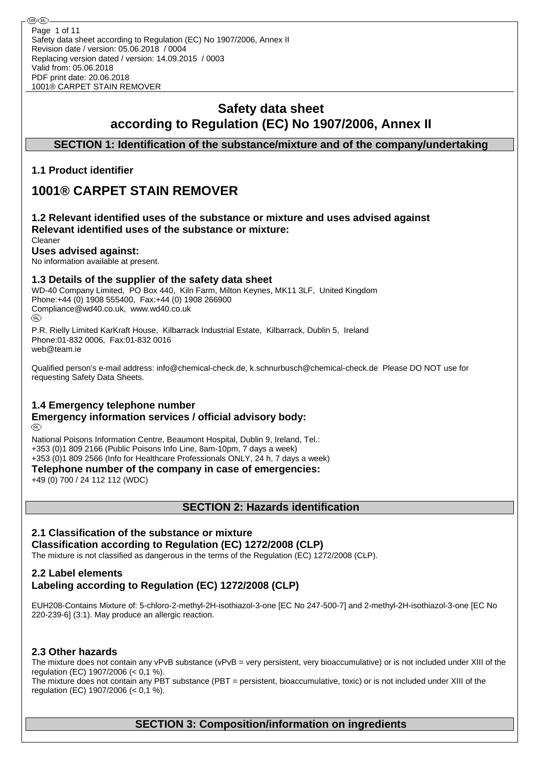## **Safety data sheet according to Regulation (EC) No 1907/2006, Annex II**

## **SECTION 1: Identification of the substance/mixture and of the company/undertaking**

## **1.1 Product identifier**

®0 (R

# **1001® CARPET STAIN REMOVER**

#### **1.2 Relevant identified uses of the substance or mixture and uses advised against Relevant identified uses of the substance or mixture:** Cleaner

## **Uses advised against:**

No information available at present.

## **1.3 Details of the supplier of the safety data sheet**

WD-40 Company Limited, PO Box 440, Kiln Farm, Milton Keynes, MK11 3LF, United Kingdom Phone:+44 (0) 1908 555400, Fax:+44 (0) 1908 266900 Compliance@wd40.co.uk, www.wd40.co.uk (RD)

P.R. Rielly Limited KarKraft House, Kilbarrack Industrial Estate, Kilbarrack, Dublin 5, Ireland Phone:01-832 0006, Fax:01-832 0016 web@team.ie

Qualified person's e-mail address: info@chemical-check.de, k.schnurbusch@chemical-check.de Please DO NOT use for requesting Safety Data Sheets.

## **1.4 Emergency telephone number**

#### **Emergency information services / official advisory body:** (RD)

National Poisons Information Centre, Beaumont Hospital, Dublin 9, Ireland, Tel.: +353 (0)1 809 2166 (Public Poisons Info Line, 8am-10pm, 7 days a week) +353 (0)1 809 2566 (Info for Healthcare Professionals ONLY, 24 h, 7 days a week)

**Telephone number of the company in case of emergencies:**

+49 (0) 700 / 24 112 112 (WDC)

**SECTION 2: Hazards identification**

### **2.1 Classification of the substance or mixture**

#### **Classification according to Regulation (EC) 1272/2008 (CLP)**

The mixture is not classified as dangerous in the terms of the Regulation (EC) 1272/2008 (CLP).

## **2.2 Label elements Labeling according to Regulation (EC) 1272/2008 (CLP)**

EUH208-Contains Mixture of: 5-chloro-2-methyl-2H-isothiazol-3-one [EC No 247-500-7] and 2-methyl-2H-isothiazol-3-one [EC No 220-239-6] (3:1). May produce an allergic reaction.

## **2.3 Other hazards**

The mixture does not contain any vPvB substance (vPvB = very persistent, very bioaccumulative) or is not included under XIII of the regulation (EC) 1907/2006 (< 0,1 %).

The mixture does not contain any PBT substance (PBT = persistent, bioaccumulative, toxic) or is not included under XIII of the regulation (EC) 1907/2006 (< 0,1 %).

## **SECTION 3: Composition/information on ingredients**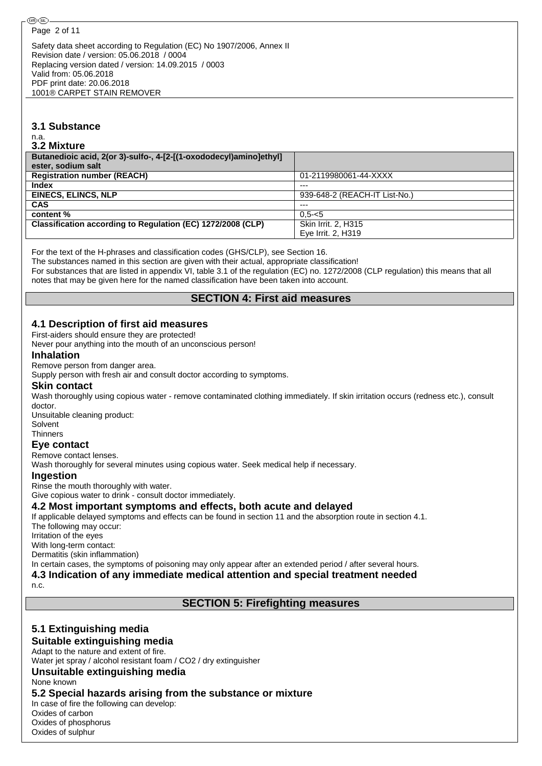Safety data sheet according to Regulation (EC) No 1907/2006, Annex II Revision date / version: 05.06.2018 / 0004 Replacing version dated / version: 14.09.2015 / 0003 Valid from: 05.06.2018 PDF print date: 20.06.2018 1001® CARPET STAIN REMOVER

#### **3.1 Substance**

n.a.

#### **3.2 Mixture**

| Butanedioic acid, 2(or 3)-sulfo-, 4-[2-[(1-oxododecyl)amino]ethyl] |                               |
|--------------------------------------------------------------------|-------------------------------|
| ester, sodium salt                                                 |                               |
| <b>Registration number (REACH)</b>                                 | 01-2119980061-44-XXXX         |
| <b>Index</b>                                                       | $---$                         |
| <b>EINECS, ELINCS, NLP</b>                                         | 939-648-2 (REACH-IT List-No.) |
| <b>CAS</b>                                                         | $---$                         |
| content %                                                          | $0.5 - 5$                     |
| Classification according to Regulation (EC) 1272/2008 (CLP)        | Skin Irrit. 2. H315           |
|                                                                    | Eye Irrit. 2, H319            |

For the text of the H-phrases and classification codes (GHS/CLP), see Section 16.

The substances named in this section are given with their actual, appropriate classification!

For substances that are listed in appendix VI, table 3.1 of the regulation (EC) no. 1272/2008 (CLP regulation) this means that all notes that may be given here for the named classification have been taken into account.

## **SECTION 4: First aid measures**

## **4.1 Description of first aid measures**

First-aiders should ensure they are protected!

Never pour anything into the mouth of an unconscious person!

#### **Inhalation**

Remove person from danger area.

Supply person with fresh air and consult doctor according to symptoms.

#### **Skin contact**

Wash thoroughly using copious water - remove contaminated clothing immediately. If skin irritation occurs (redness etc.), consult doctor.

Unsuitable cleaning product: Solvent

#### **Thinners**

**Eye contact**

#### Remove contact lenses.

Wash thoroughly for several minutes using copious water. Seek medical help if necessary.

#### **Ingestion**

Rinse the mouth thoroughly with water.

Give copious water to drink - consult doctor immediately.

#### **4.2 Most important symptoms and effects, both acute and delayed**

If applicable delayed symptoms and effects can be found in section 11 and the absorption route in section 4.1.

The following may occur:

Irritation of the eyes

With long-term contact:

Dermatitis (skin inflammation)

In certain cases, the symptoms of poisoning may only appear after an extended period / after several hours.

**4.3 Indication of any immediate medical attention and special treatment needed**

n.c.

**SECTION 5: Firefighting measures**

## **5.1 Extinguishing media**

#### **Suitable extinguishing media**

Adapt to the nature and extent of fire. Water jet spray / alcohol resistant foam / CO2 / dry extinguisher

#### **Unsuitable extinguishing media**

None known

## **5.2 Special hazards arising from the substance or mixture**

In case of fire the following can develop: Oxides of carbon Oxides of phosphorus Oxides of sulphur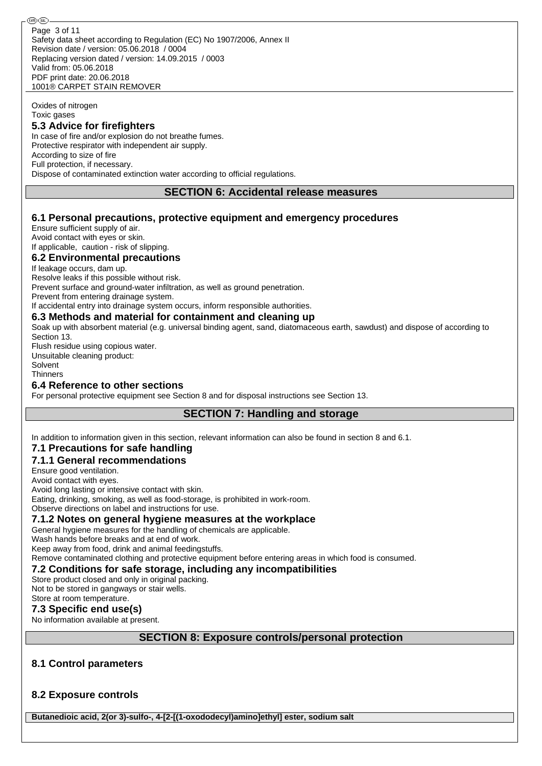Oxides of nitrogen Toxic gases

#### **5.3 Advice for firefighters**

In case of fire and/or explosion do not breathe fumes. Protective respirator with independent air supply. According to size of fire Full protection, if necessary. Dispose of contaminated extinction water according to official regulations.

#### **SECTION 6: Accidental release measures**

### **6.1 Personal precautions, protective equipment and emergency procedures**

Ensure sufficient supply of air. Avoid contact with eyes or skin. If applicable, caution - risk of slipping.

#### **6.2 Environmental precautions**

If leakage occurs, dam up.

Resolve leaks if this possible without risk.

Prevent surface and ground-water infiltration, as well as ground penetration.

Prevent from entering drainage system.

If accidental entry into drainage system occurs, inform responsible authorities.

#### **6.3 Methods and material for containment and cleaning up**

Soak up with absorbent material (e.g. universal binding agent, sand, diatomaceous earth, sawdust) and dispose of according to Section 13.

Flush residue using copious water. Unsuitable cleaning product: Solvent **Thinners** 

### **6.4 Reference to other sections**

For personal protective equipment see Section 8 and for disposal instructions see Section 13.

## **SECTION 7: Handling and storage**

In addition to information given in this section, relevant information can also be found in section 8 and 6.1.

## **7.1 Precautions for safe handling**

#### **7.1.1 General recommendations**

Ensure good ventilation.

Avoid contact with eyes.

Avoid long lasting or intensive contact with skin.

Eating, drinking, smoking, as well as food-storage, is prohibited in work-room.

## Observe directions on label and instructions for use.

#### **7.1.2 Notes on general hygiene measures at the workplace**

General hygiene measures for the handling of chemicals are applicable.

Wash hands before breaks and at end of work.

Keep away from food, drink and animal feedingstuffs.

Remove contaminated clothing and protective equipment before entering areas in which food is consumed.

## **7.2 Conditions for safe storage, including any incompatibilities**

Store product closed and only in original packing. Not to be stored in gangways or stair wells. Store at room temperature.

## **7.3 Specific end use(s)**

No information available at present.

## **SECTION 8: Exposure controls/personal protection**

## **8.1 Control parameters**

## **8.2 Exposure controls**

**Butanedioic acid, 2(or 3)-sulfo-, 4-[2-[(1-oxododecyl)amino]ethyl] ester, sodium salt**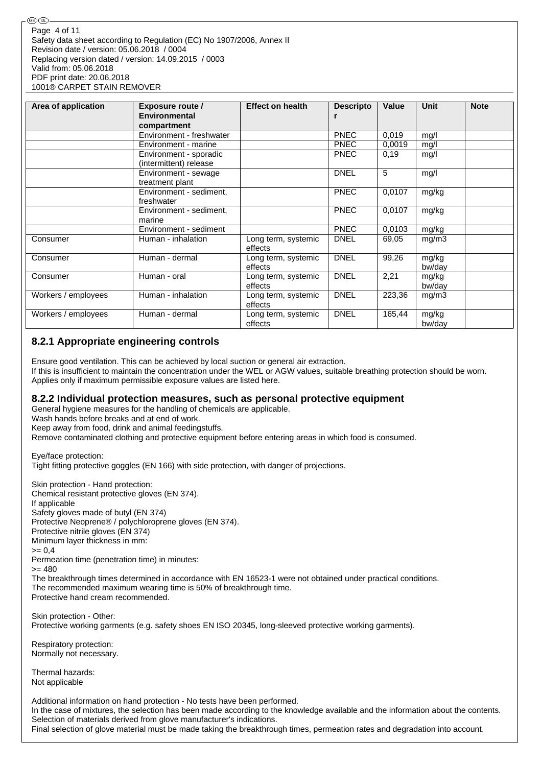| Area of application | <b>Exposure route /</b><br>Environmental<br>compartment | <b>Effect on health</b>        | <b>Descripto</b><br>r | Value  | <b>Unit</b>     | <b>Note</b> |
|---------------------|---------------------------------------------------------|--------------------------------|-----------------------|--------|-----------------|-------------|
|                     | Environment - freshwater                                |                                | <b>PNEC</b>           | 0.019  | mg/l            |             |
|                     | Environment - marine                                    |                                | <b>PNEC</b>           | 0,0019 | mg/l            |             |
|                     | Environment - sporadic<br>(intermittent) release        |                                | <b>PNEC</b>           | 0,19   | mg/l            |             |
|                     | Environment - sewage<br>treatment plant                 |                                | <b>DNEL</b>           | 5      | mg/l            |             |
|                     | Environment - sediment,<br>freshwater                   |                                | <b>PNEC</b>           | 0.0107 | mg/kg           |             |
|                     | Environment - sediment,<br>marine                       |                                | <b>PNEC</b>           | 0,0107 | mg/kg           |             |
|                     | Environment - sediment                                  |                                | <b>PNEC</b>           | 0,0103 | mg/kg           |             |
| Consumer            | Human - inhalation                                      | Long term, systemic<br>effects | <b>DNEL</b>           | 69,05  | mg/m3           |             |
| Consumer            | Human - dermal                                          | Long term, systemic<br>effects | <b>DNEL</b>           | 99,26  | mg/kg<br>bw/day |             |
| Consumer            | Human - oral                                            | Long term, systemic<br>effects | <b>DNEL</b>           | 2,21   | mg/kg<br>bw/day |             |
| Workers / employees | Human - inhalation                                      | Long term, systemic<br>effects | <b>DNEL</b>           | 223,36 | mg/m3           |             |
| Workers / employees | Human - dermal                                          | Long term, systemic<br>effects | <b>DNEL</b>           | 165,44 | mg/kg<br>bw/day |             |

## **8.2.1 Appropriate engineering controls**

Ensure good ventilation. This can be achieved by local suction or general air extraction. If this is insufficient to maintain the concentration under the WEL or AGW values, suitable breathing protection should be worn. Applies only if maximum permissible exposure values are listed here.

## **8.2.2 Individual protection measures, such as personal protective equipment**

General hygiene measures for the handling of chemicals are applicable.

Wash hands before breaks and at end of work.

Keep away from food, drink and animal feedingstuffs.

Remove contaminated clothing and protective equipment before entering areas in which food is consumed.

Eye/face protection: Tight fitting protective goggles (EN 166) with side protection, with danger of projections.

Skin protection - Hand protection: Chemical resistant protective gloves (EN 374). If applicable Safety gloves made of butyl (EN 374) Protective Neoprene® / polychloroprene gloves (EN 374). Protective nitrile gloves (EN 374) Minimum layer thickness in mm:  $>= 0,4$ Permeation time (penetration time) in minutes: >= 480 The breakthrough times determined in accordance with EN 16523-1 were not obtained under practical conditions. The recommended maximum wearing time is 50% of breakthrough time. Protective hand cream recommended. Skin protection - Other: Protective working garments (e.g. safety shoes EN ISO 20345, long-sleeved protective working garments).

Respiratory protection: Normally not necessary.

Thermal hazards: Not applicable

Additional information on hand protection - No tests have been performed. In the case of mixtures, the selection has been made according to the knowledge available and the information about the contents. Selection of materials derived from glove manufacturer's indications. Final selection of glove material must be made taking the breakthrough times, permeation rates and degradation into account.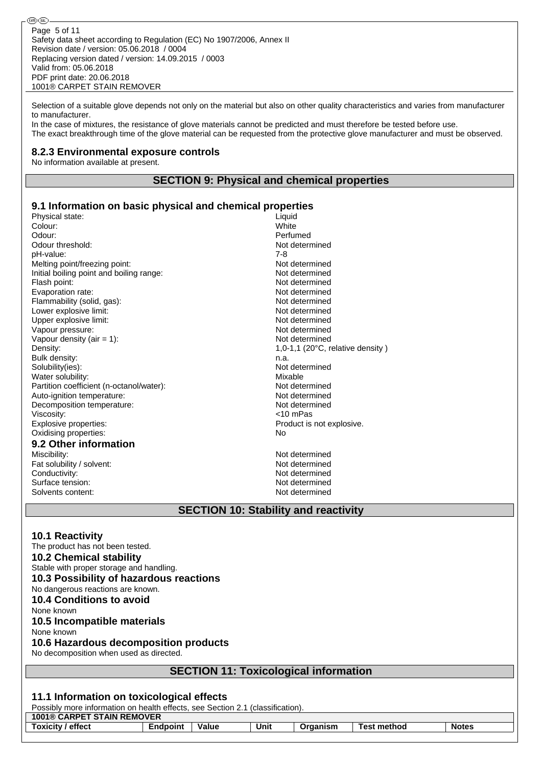Safety data sheet according to Regulation (EC) No 1907/2006, Annex II Revision date / version: 05.06.2018 / 0004 Replacing version dated / version: 14.09.2015 / 0003 Valid from: 05.06.2018 PDF print date: 20.06.2018 1001® CARPET STAIN REMOVER Page 5 of 11

Selection of a suitable glove depends not only on the material but also on other quality characteristics and varies from manufacturer to manufacturer.

In the case of mixtures, the resistance of glove materials cannot be predicted and must therefore be tested before use. The exact breakthrough time of the glove material can be requested from the protective glove manufacturer and must be observed.

### **8.2.3 Environmental exposure controls**

No information available at present.

௵

## **SECTION 9: Physical and chemical properties**

#### **9.1 Information on basic physical and chemical properties**

| Physical state:                          | Liquid                                                                          |
|------------------------------------------|---------------------------------------------------------------------------------|
| Colour:                                  | White                                                                           |
| Odour:                                   | Perfumed                                                                        |
| Odour threshold:                         | Not determined                                                                  |
| pH-value:                                | $7-8$                                                                           |
| Melting point/freezing point:            | Not determined                                                                  |
| Initial boiling point and boiling range: | Not determined                                                                  |
| Flash point:                             | Not determined                                                                  |
| Evaporation rate:                        | Not determined                                                                  |
| Flammability (solid, gas):               | Not determined                                                                  |
| Lower explosive limit:                   | Not determined                                                                  |
| Upper explosive limit:                   | Not determined                                                                  |
| Vapour pressure:                         | Not determined                                                                  |
| Vapour density (air = $1$ ):             | Not determined                                                                  |
| Density:                                 | 1,0-1,1 (20°C, relative density)                                                |
| Bulk density:                            | n.a.                                                                            |
| Solubility(ies):                         | Not determined                                                                  |
| Water solubility:                        | Mixable                                                                         |
| Partition coefficient (n-octanol/water): | Not determined                                                                  |
| Auto-ignition temperature:               | Not determined                                                                  |
| Decomposition temperature:               | Not determined                                                                  |
| Viscosity:                               | <10 mPas                                                                        |
| Explosive properties:                    | Product is not explosive.                                                       |
| Oxidising properties:                    | No                                                                              |
| 9.2 Other information                    |                                                                                 |
| Miscibility:                             | Not determined                                                                  |
| Fat solubility / solvent:                | Not determined                                                                  |
| Conductivity:                            | Not determined                                                                  |
| Surface tension:                         | Not determined                                                                  |
| Solvents content:                        | Not determined                                                                  |
| ----<br>.                                | $\sim$ $\sim$ $\sim$ $\sim$ $\sim$<br>$\overline{a}$ . The state $\overline{a}$ |

# **SECTION 10: Stability and reactivity**

#### **10.1 Reactivity**

The product has not been tested. **10.2 Chemical stability** Stable with proper storage and handling. **10.3 Possibility of hazardous reactions** No dangerous reactions are known. **10.4 Conditions to avoid** None known **10.5 Incompatible materials** None known **10.6 Hazardous decomposition products** No decomposition when used as directed. **SECTION 11: Toxicological information 11.1 Information on toxicological effects** Possibly more information on health effects, see Section 2.1 (classification) **1001® CARPET STAIN REMOVER Toxicity / effect Endpoint Value Unit Organism Test method Notes**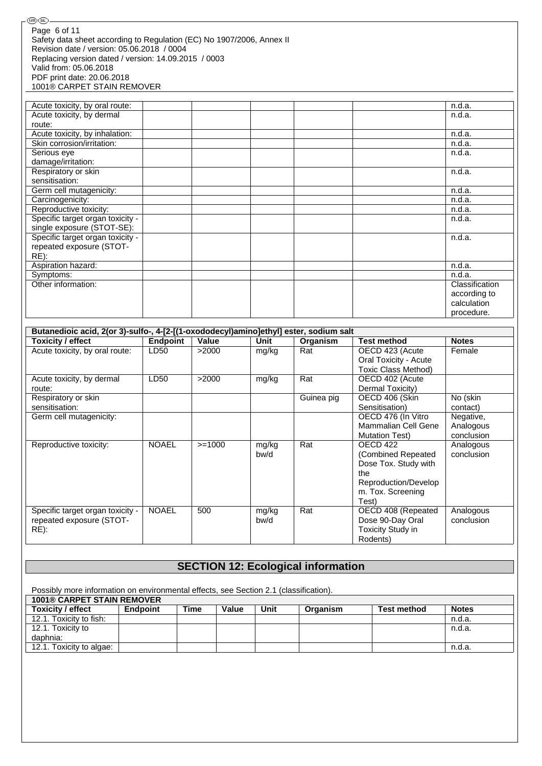| Page 6 of 11                                                          |
|-----------------------------------------------------------------------|
| Safety data sheet according to Regulation (EC) No 1907/2006, Annex II |
| Revision date / version: 05.06.2018 / 0004                            |
| Replacing version dated / version: 14.09.2015 / 0003                  |
| Valid from: 05.06.2018                                                |
| PDF print date: 20.06.2018                                            |
| 1001® CARPET STAIN REMOVER                                            |

-®®-

| Acute toxicity, by oral route:   |  | n.d.a.         |
|----------------------------------|--|----------------|
| Acute toxicity, by dermal        |  | n.d.a.         |
| route:                           |  |                |
| Acute toxicity, by inhalation:   |  | n.d.a.         |
| Skin corrosion/irritation:       |  | n.d.a.         |
| Serious eye                      |  | n.d.a.         |
| damage/irritation:               |  |                |
| Respiratory or skin              |  | n.d.a.         |
| sensitisation:                   |  |                |
| Germ cell mutagenicity:          |  | n.d.a.         |
| Carcinogenicity:                 |  | n.d.a.         |
| Reproductive toxicity:           |  | n.d.a.         |
| Specific target organ toxicity - |  | n.d.a.         |
| single exposure (STOT-SE):       |  |                |
| Specific target organ toxicity - |  | n.d.a.         |
| repeated exposure (STOT-         |  |                |
| $RE)$ :                          |  |                |
| Aspiration hazard:               |  | n.d.a.         |
| Symptoms:                        |  | n.d.a.         |
| Other information:               |  | Classification |
|                                  |  | according to   |
|                                  |  | calculation    |
|                                  |  | procedure.     |

| Butanedioic acid, 2(or 3)-sulfo-, 4-[2-[(1-oxododecyl)amino]ethyl] ester, sodium salt |                 |          |       |            |                            |              |
|---------------------------------------------------------------------------------------|-----------------|----------|-------|------------|----------------------------|--------------|
| Toxicity / effect                                                                     | <b>Endpoint</b> | Value    | Unit  | Organism   | <b>Test method</b>         | <b>Notes</b> |
| Acute toxicity, by oral route:                                                        | LD50            | >2000    | mg/kg | Rat        | OECD 423 (Acute            | Female       |
|                                                                                       |                 |          |       |            | Oral Toxicity - Acute      |              |
|                                                                                       |                 |          |       |            | Toxic Class Method)        |              |
| Acute toxicity, by dermal                                                             | LD50            | >2000    | mg/kg | Rat        | OECD 402 (Acute            |              |
| route:                                                                                |                 |          |       |            | Dermal Toxicity)           |              |
| Respiratory or skin                                                                   |                 |          |       | Guinea pig | OECD 406 (Skin             | No (skin     |
| sensitisation:                                                                        |                 |          |       |            | Sensitisation)             | contact)     |
| Germ cell mutagenicity:                                                               |                 |          |       |            | OECD 476 (In Vitro         | Negative,    |
|                                                                                       |                 |          |       |            | <b>Mammalian Cell Gene</b> | Analogous    |
|                                                                                       |                 |          |       |            | <b>Mutation Test)</b>      | conclusion   |
| Reproductive toxicity:                                                                | <b>NOAEL</b>    | $>=1000$ | mg/kg | Rat        | OECD 422                   | Analogous    |
|                                                                                       |                 |          | bw/d  |            | (Combined Repeated         | conclusion   |
|                                                                                       |                 |          |       |            | Dose Tox. Study with       |              |
|                                                                                       |                 |          |       |            | the                        |              |
|                                                                                       |                 |          |       |            | Reproduction/Develop       |              |
|                                                                                       |                 |          |       |            | m. Tox. Screening          |              |
|                                                                                       |                 |          |       |            | Test)                      |              |
| Specific target organ toxicity -                                                      | <b>NOAEL</b>    | 500      | mg/kg | Rat        | OECD 408 (Repeated         | Analogous    |
| repeated exposure (STOT-                                                              |                 |          | bw/d  |            | Dose 90-Day Oral           | conclusion   |
| $RE)$ :                                                                               |                 |          |       |            | <b>Toxicity Study in</b>   |              |
|                                                                                       |                 |          |       |            | Rodents)                   |              |

# **SECTION 12: Ecological information**

Possibly more information on environmental effects, see Section 2.1 (classification).

| <b>1001® CARPET STAIN REMOVER</b> |          |      |       |      |          |                    |              |
|-----------------------------------|----------|------|-------|------|----------|--------------------|--------------|
| <b>Toxicity / effect</b>          | Endpoint | Time | Value | Unit | Organism | <b>Test method</b> | <b>Notes</b> |
| 12.1. Toxicity to fish:           |          |      |       |      |          |                    | n.d.a.       |
| 12.1. Toxicity to                 |          |      |       |      |          |                    | n.d.a.       |
| daphnia:                          |          |      |       |      |          |                    |              |
| 12.1. Toxicity to algae:          |          |      |       |      |          |                    | n.d.a        |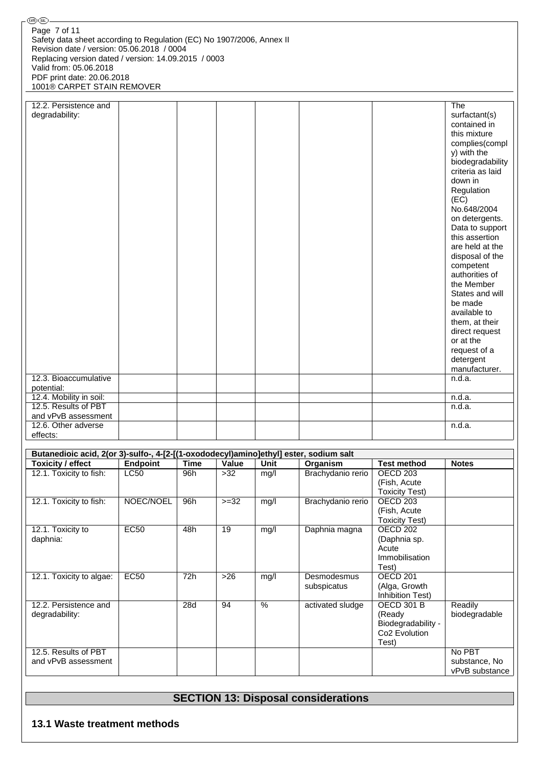| ®®                                                                    |  |                  |
|-----------------------------------------------------------------------|--|------------------|
| Page 7 of 11                                                          |  |                  |
| Safety data sheet according to Regulation (EC) No 1907/2006, Annex II |  |                  |
| Revision date / version: 05.06.2018 / 0004                            |  |                  |
| Replacing version dated / version: 14.09.2015 / 0003                  |  |                  |
| Valid from: 05.06.2018                                                |  |                  |
| PDF print date: 20.06.2018                                            |  |                  |
|                                                                       |  |                  |
| 1001® CARPET STAIN REMOVER                                            |  |                  |
| 12.2. Persistence and                                                 |  |                  |
|                                                                       |  | The              |
| degradability:                                                        |  | surfactant(s)    |
|                                                                       |  | contained in     |
|                                                                       |  | this mixture     |
|                                                                       |  | complies(compl   |
|                                                                       |  | y) with the      |
|                                                                       |  | biodegradability |
|                                                                       |  | criteria as laid |
|                                                                       |  | down in          |
|                                                                       |  | Regulation       |
|                                                                       |  | (EC)             |
|                                                                       |  | No.648/2004      |
|                                                                       |  | on detergents.   |
|                                                                       |  | Data to support  |
|                                                                       |  | this assertion   |
|                                                                       |  | are held at the  |
|                                                                       |  | disposal of the  |
|                                                                       |  | competent        |
|                                                                       |  | authorities of   |
|                                                                       |  | the Member       |
|                                                                       |  | States and will  |
|                                                                       |  | be made          |
|                                                                       |  | available to     |
|                                                                       |  | them, at their   |
|                                                                       |  | direct request   |
|                                                                       |  | or at the        |
|                                                                       |  | request of a     |
|                                                                       |  | detergent        |
|                                                                       |  | manufacturer.    |
| 12.3. Bioaccumulative                                                 |  | n.d.a.           |
|                                                                       |  |                  |
| potential:                                                            |  |                  |
| 12.4. Mobility in soil:<br>12.5. Results of PBT                       |  | n.d.a.           |
|                                                                       |  | n.d.a.           |
| and vPvB assessment<br>12.6. Other adverse                            |  | n.d.a.           |
|                                                                       |  |                  |
| effects:                                                              |  |                  |

| Butanedioic acid, 2(or 3)-sulfo-, 4-[2-[(1-oxododecyl)amino]ethyl] ester, sodium salt |             |      |        |      |                   |                           |                |
|---------------------------------------------------------------------------------------|-------------|------|--------|------|-------------------|---------------------------|----------------|
| Toxicity / effect                                                                     | Endpoint    | Time | Value  | Unit | Organism          | <b>Test method</b>        | <b>Notes</b>   |
| 12.1. Toxicity to fish:                                                               | <b>LC50</b> | 96h  | $>32$  | mq/l | Brachydanio rerio | OECD 203                  |                |
|                                                                                       |             |      |        |      |                   | (Fish, Acute)             |                |
|                                                                                       |             |      |        |      |                   | <b>Toxicity Test)</b>     |                |
| 12.1. Toxicity to fish:                                                               | NOEC/NOEL   | 96h  | $>=32$ | mg/l | Brachydanio rerio | OECD <sub>203</sub>       |                |
|                                                                                       |             |      |        |      |                   | (Fish, Acute)             |                |
|                                                                                       |             |      |        |      |                   | <b>Toxicity Test)</b>     |                |
| 12.1. Toxicity to                                                                     | <b>EC50</b> | 48h  | 19     | mg/l | Daphnia magna     | OECD <sub>202</sub>       |                |
| daphnia:                                                                              |             |      |        |      |                   | (Daphnia sp.              |                |
|                                                                                       |             |      |        |      |                   | Acute                     |                |
|                                                                                       |             |      |        |      |                   | Immobilisation            |                |
|                                                                                       |             |      |        |      |                   | Test)                     |                |
| 12.1. Toxicity to algae:                                                              | <b>EC50</b> | 72h  | $>26$  | mg/l | Desmodesmus       | OECD <sub>201</sub>       |                |
|                                                                                       |             |      |        |      | subspicatus       | (Alga, Growth             |                |
|                                                                                       |             |      |        |      |                   | Inhibition Test)          |                |
| 12.2. Persistence and                                                                 |             | 28d  | 94     | $\%$ | activated sludge  | <b>OECD 301 B</b>         | Readily        |
| degradability:                                                                        |             |      |        |      |                   | (Ready                    | biodegradable  |
|                                                                                       |             |      |        |      |                   | Biodegradability -        |                |
|                                                                                       |             |      |        |      |                   | Co <sub>2</sub> Evolution |                |
|                                                                                       |             |      |        |      |                   | Test)                     |                |
| 12.5. Results of PBT                                                                  |             |      |        |      |                   |                           | No PBT         |
| and vPvB assessment                                                                   |             |      |        |      |                   |                           | substance, No  |
|                                                                                       |             |      |        |      |                   |                           | vPvB substance |

# **SECTION 13: Disposal considerations**

## **13.1 Waste treatment methods**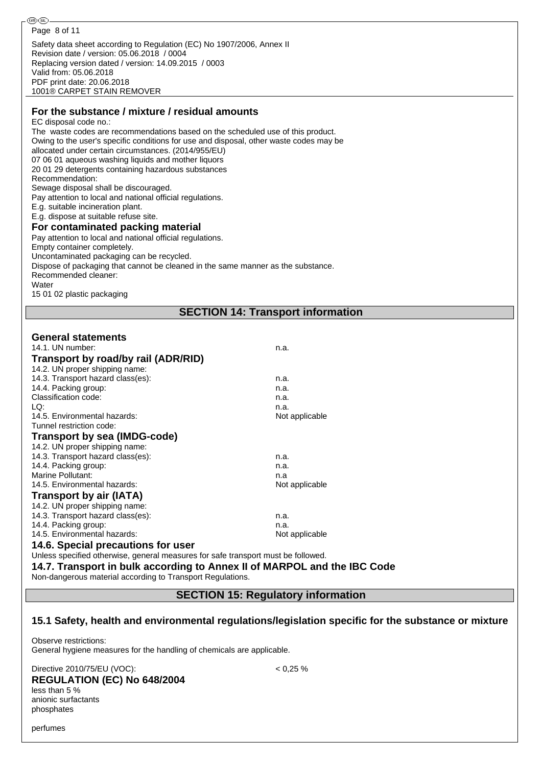#### **For the substance / mixture / residual amounts**

#### EC disposal code no.:

The waste codes are recommendations based on the scheduled use of this product. Owing to the user's specific conditions for use and disposal, other waste codes may be allocated under certain circumstances. (2014/955/EU) 07 06 01 aqueous washing liquids and mother liquors 20 01 29 detergents containing hazardous substances Recommendation: Sewage disposal shall be discouraged. Pay attention to local and national official regulations. E.g. suitable incineration plant. E.g. dispose at suitable refuse site. **For contaminated packing material** Pay attention to local and national official regulations. Empty container completely.

# Uncontaminated packaging can be recycled.

Dispose of packaging that cannot be cleaned in the same manner as the substance.

Recommended cleaner:

**Water** 

15 01 02 plastic packaging

#### **SECTION 14: Transport information**

#### **General statements**

| 14.1. UN number:                                                                  | n.a.           |
|-----------------------------------------------------------------------------------|----------------|
| Transport by road/by rail (ADR/RID)                                               |                |
| 14.2. UN proper shipping name:                                                    |                |
| 14.3. Transport hazard class(es):                                                 | n.a.           |
| 14.4. Packing group:                                                              | n.a.           |
| Classification code:                                                              | n.a.           |
| LQ:                                                                               | n.a.           |
| 14.5. Environmental hazards:                                                      | Not applicable |
| Tunnel restriction code:                                                          |                |
| <b>Transport by sea (IMDG-code)</b>                                               |                |
| 14.2. UN proper shipping name:                                                    |                |
| 14.3. Transport hazard class(es):                                                 | n.a.           |
| 14.4. Packing group:                                                              | n.a.           |
| <b>Marine Pollutant:</b>                                                          | n.a            |
| 14.5. Environmental hazards:                                                      | Not applicable |
| <b>Transport by air (IATA)</b>                                                    |                |
| 14.2. UN proper shipping name:                                                    |                |
| 14.3. Transport hazard class(es):                                                 | n.a.           |
| 14.4. Packing group:                                                              | n.a.           |
| 14.5. Environmental hazards:                                                      | Not applicable |
| 14.6. Special precautions for user                                                |                |
| Unless specified otherwise, general measures for safe transport must be followed. |                |

# **14.7. Transport in bulk according to Annex II of MARPOL and the IBC Code**

Non-dangerous material according to Transport Regulations.

## **SECTION 15: Regulatory information**

#### **15.1 Safety, health and environmental regulations/legislation specific for the substance or mixture**

Observe restrictions: General hygiene measures for the handling of chemicals are applicable.

Directive 2010/75/EU (VOC): < 0,25 % **REGULATION (EC) No 648/2004** less than 5 % anionic surfactants phosphates

perfumes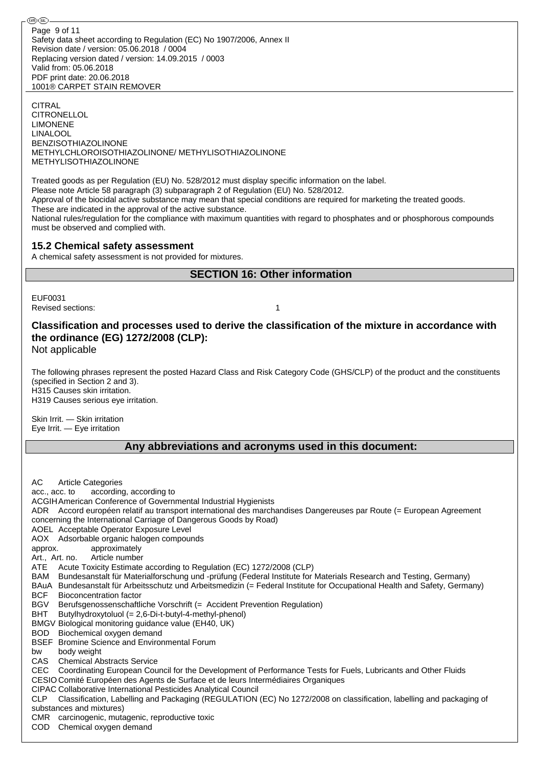Safety data sheet according to Regulation (EC) No 1907/2006, Annex II Revision date / version: 05.06.2018 / 0004 Replacing version dated / version: 14.09.2015 / 0003 Valid from: 05.06.2018 PDF print date: 20.06.2018 1001® CARPET STAIN REMOVER Page 9 of 11

**CITRAL** CITRONELLOL LIMONENE LINALOOL BENZISOTHIAZOLINONE METHYLCHLOROISOTHIAZOLINONE/ METHYLISOTHIAZOLINONE METHYLISOTHIAZOLINONE

Treated goods as per Regulation (EU) No. 528/2012 must display specific information on the label. Please note Article 58 paragraph (3) subparagraph 2 of Regulation (EU) No. 528/2012. Approval of the biocidal active substance may mean that special conditions are required for marketing the treated goods. These are indicated in the approval of the active substance.

National rules/regulation for the compliance with maximum quantities with regard to phosphates and or phosphorous compounds must be observed and complied with.

#### **15.2 Chemical safety assessment**

A chemical safety assessment is not provided for mixtures.

## **SECTION 16: Other information**

EUF0031 Revised sections: 1

## **Classification and processes used to derive the classification of the mixture in accordance with the ordinance (EG) 1272/2008 (CLP):**

Not applicable

The following phrases represent the posted Hazard Class and Risk Category Code (GHS/CLP) of the product and the constituents (specified in Section 2 and 3). H315 Causes skin irritation. H319 Causes serious eye irritation.

Skin Irrit. - Skin irritation

Eye Irrit. — Eye irritation

## **Any abbreviations and acronyms used in this document:**

AC Article Categories acc., acc. to according, according to ACGIHAmerican Conference of Governmental Industrial Hygienists ADR Accord européen relatif au transport international des marchandises Dangereuses par Route (= European Agreement concerning the International Carriage of Dangerous Goods by Road) AOEL Acceptable Operator Exposure Level AOX Adsorbable organic halogen compounds approx. approximately Art., Art. no. Article number ATE Acute Toxicity Estimate according to Regulation (EC) 1272/2008 (CLP) BAM Bundesanstalt für Materialforschung und -prüfung (Federal Institute for Materials Research and Testing, Germany) BAuA Bundesanstalt für Arbeitsschutz und Arbeitsmedizin (= Federal Institute for Occupational Health and Safety, Germany) BCF Bioconcentration factor BGV Berufsgenossenschaftliche Vorschrift (= Accident Prevention Regulation) BHT Butylhydroxytoluol (= 2,6-Di-t-butyl-4-methyl-phenol) BMGV Biological monitoring guidance value (EH40, UK) BOD Biochemical oxygen demand BSEF Bromine Science and Environmental Forum bw body weight CAS Chemical Abstracts Service CEC Coordinating European Council for the Development of Performance Tests for Fuels, Lubricants and Other Fluids CESIO Comité Européen des Agents de Surface et de leurs Intermédiaires Organiques CIPAC Collaborative International Pesticides Analytical Council CLP Classification, Labelling and Packaging (REGULATION (EC) No 1272/2008 on classification, labelling and packaging of substances and mixtures) CMR carcinogenic, mutagenic, reproductive toxic COD Chemical oxygen demand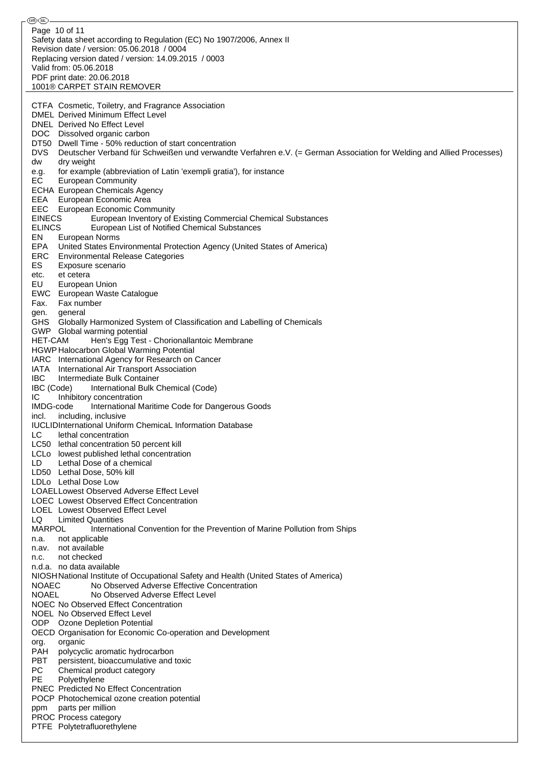⊛® Page 10 of 11Safety data sheet according to Regulation (EC) No 1907/2006, Annex II Revision date / version: 05.06.2018 / 0004 Replacing version dated / version: 14.09.2015 / 0003 Valid from: 05.06.2018 PDF print date: 20.06.2018 1001® CARPET STAIN REMOVER CTFA Cosmetic, Toiletry, and Fragrance Association DMEL Derived Minimum Effect Level DNEL Derived No Effect Level DOC Dissolved organic carbon DT50 Dwell Time - 50% reduction of start concentration DVS Deutscher Verband für Schweißen und verwandte Verfahren e.V. (= German Association for Welding and Allied Processes) dw dry weight e.g. for example (abbreviation of Latin 'exempli gratia'), for instance EC European Community ECHA European Chemicals Agency EEA European Economic Area EEC European Economic Community<br>EINECS European Inventory of European Inventory of Existing Commercial Chemical Substances ELINCS European List of Notified Chemical Substances EN European Norms EPA United States Environmental Protection Agency (United States of America) ERC Environmental Release Categories ES Exposure scenario etc. et cetera EU European Union EWC European Waste Catalogue Fax. Fax number gen. general GHS Globally Harmonized System of Classification and Labelling of Chemicals GWP Global warming potential HET-CAM Hen's Egg Test - Chorionallantoic Membrane HGWP Halocarbon Global Warming Potential IARC International Agency for Research on Cancer IATA International Air Transport Association IBC Intermediate Bulk Container IBC (Code) International Bulk Chemical (Code) IC Inhibitory concentration IMDG-code International Maritime Code for Dangerous Goods incl. including, inclusive IUCLIDInternational Uniform ChemicaL Information Database LC lethal concentration LC50 lethal concentration 50 percent kill LCLo lowest published lethal concentration LD Lethal Dose of a chemical LD50 Lethal Dose, 50% kill LDLo Lethal Dose Low LOAELLowest Observed Adverse Effect Level LOEC Lowest Observed Effect Concentration LOEL Lowest Observed Effect Level LQ Limited Quantities MARPOL International Convention for the Prevention of Marine Pollution from Ships n.a. not applicable n.av. not available n.c. not checked n.d.a. no data available NIOSHNational Institute of Occupational Safety and Health (United States of America) NOAEC No Observed Adverse Effective Concentration NOAEL No Observed Adverse Effect Level NOEC No Observed Effect Concentration NOEL No Observed Effect Level ODP Ozone Depletion Potential OECD Organisation for Economic Co-operation and Development org. organic PAH polycyclic aromatic hydrocarbon PBT persistent, bioaccumulative and toxic PC Chemical product category PE Polyethylene PNEC Predicted No Effect Concentration POCP Photochemical ozone creation potential ppm parts per million PROC Process category PTFE Polytetrafluorethylene